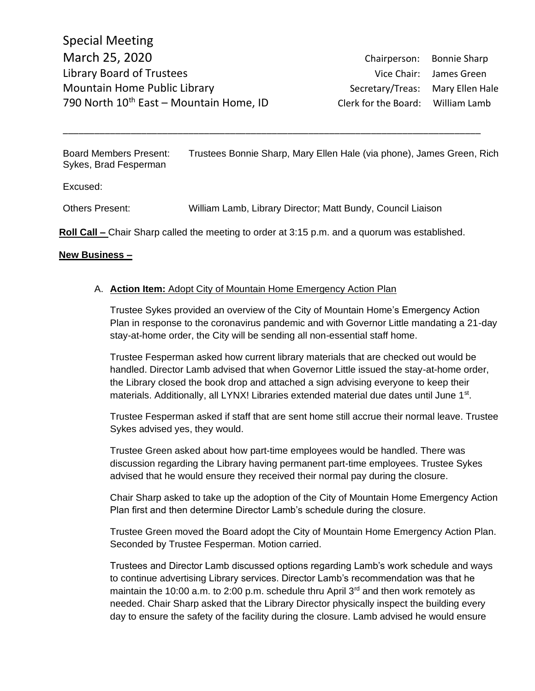Board Members Present: Trustees Bonnie Sharp, Mary Ellen Hale (via phone), James Green, Rich Sykes, Brad Fesperman

\_\_\_\_\_\_\_\_\_\_\_\_\_\_\_\_\_\_\_\_\_\_\_\_\_\_\_\_\_\_\_\_\_\_\_\_\_\_\_\_\_\_\_\_\_\_\_\_\_\_\_\_\_\_\_\_\_\_\_\_\_\_\_\_\_\_\_\_\_\_\_\_\_\_\_\_\_\_\_\_

Excused:

Others Present: William Lamb, Library Director; Matt Bundy, Council Liaison

**Roll Call –** Chair Sharp called the meeting to order at 3:15 p.m. and a quorum was established.

## **New Business –**

## A. **Action Item:** Adopt City of Mountain Home Emergency Action Plan

Trustee Sykes provided an overview of the City of Mountain Home's Emergency Action Plan in response to the coronavirus pandemic and with Governor Little mandating a 21-day stay-at-home order, the City will be sending all non-essential staff home.

Trustee Fesperman asked how current library materials that are checked out would be handled. Director Lamb advised that when Governor Little issued the stay-at-home order, the Library closed the book drop and attached a sign advising everyone to keep their materials. Additionally, all LYNX! Libraries extended material due dates until June 1<sup>st</sup>.

Trustee Fesperman asked if staff that are sent home still accrue their normal leave. Trustee Sykes advised yes, they would.

Trustee Green asked about how part-time employees would be handled. There was discussion regarding the Library having permanent part-time employees. Trustee Sykes advised that he would ensure they received their normal pay during the closure.

Chair Sharp asked to take up the adoption of the City of Mountain Home Emergency Action Plan first and then determine Director Lamb's schedule during the closure.

Trustee Green moved the Board adopt the City of Mountain Home Emergency Action Plan. Seconded by Trustee Fesperman. Motion carried.

Trustees and Director Lamb discussed options regarding Lamb's work schedule and ways to continue advertising Library services. Director Lamb's recommendation was that he maintain the 10:00 a.m. to 2:00 p.m. schedule thru April  $3<sup>rd</sup>$  and then work remotely as needed. Chair Sharp asked that the Library Director physically inspect the building every day to ensure the safety of the facility during the closure. Lamb advised he would ensure